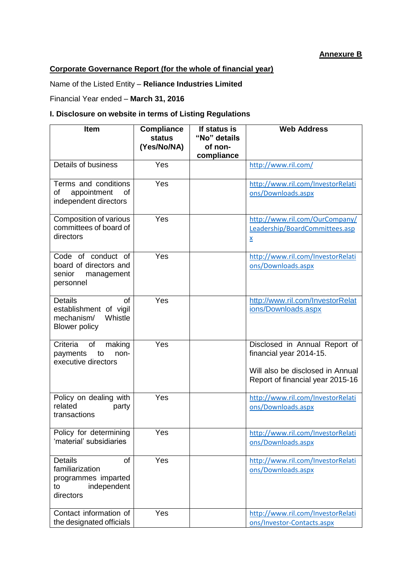## **Annexure B**

## **Corporate Governance Report (for the whole of financial year)**

Name of the Listed Entity – **Reliance Industries Limited**

Financial Year ended – **March 31, 2016**

## **I. Disclosure on website in terms of Listing Regulations**

| <b>Item</b>                                                                                      | <b>Compliance</b><br><b>status</b><br>(Yes/No/NA) | If status is<br>"No" details<br>of non-<br>compliance | <b>Web Address</b>                                                                                                               |
|--------------------------------------------------------------------------------------------------|---------------------------------------------------|-------------------------------------------------------|----------------------------------------------------------------------------------------------------------------------------------|
| Details of business                                                                              | Yes                                               |                                                       | http://www.ril.com/                                                                                                              |
| Terms and conditions<br>of<br>appointment<br>of<br>independent directors                         | Yes                                               |                                                       | http://www.ril.com/InvestorRelati<br>ons/Downloads.aspx                                                                          |
| Composition of various<br>committees of board of<br>directors                                    | Yes                                               |                                                       | http://www.ril.com/OurCompany/<br>Leadership/BoardCommittees.asp<br>X                                                            |
| Code of conduct of<br>board of directors and<br>senior<br>management<br>personnel                | Yes                                               |                                                       | http://www.ril.com/InvestorRelati<br>ons/Downloads.aspx                                                                          |
| <b>Details</b><br>of<br>establishment of vigil<br>Whistle<br>mechanism/<br><b>Blower policy</b>  | Yes                                               |                                                       | http://www.ril.com/InvestorRelat<br>ions/Downloads.aspx                                                                          |
| Criteria<br>of<br>making<br>payments<br>to<br>non-<br>executive directors                        | Yes                                               |                                                       | Disclosed in Annual Report of<br>financial year 2014-15.<br>Will also be disclosed in Annual<br>Report of financial year 2015-16 |
| Policy on dealing with<br>related<br>party<br>transactions                                       | Yes                                               |                                                       | http://www.ril.com/InvestorRelati<br>ons/Downloads.aspx                                                                          |
| Policy for determining<br>'material' subsidiaries                                                | Yes                                               |                                                       | http://www.ril.com/InvestorRelati<br>ons/Downloads.aspx                                                                          |
| <b>Details</b><br>of<br>familiarization<br>programmes imparted<br>independent<br>to<br>directors | Yes                                               |                                                       | http://www.ril.com/InvestorRelati<br>ons/Downloads.aspx                                                                          |
| Contact information of<br>the designated officials                                               | Yes                                               |                                                       | http://www.ril.com/InvestorRelati<br>ons/Investor-Contacts.aspx                                                                  |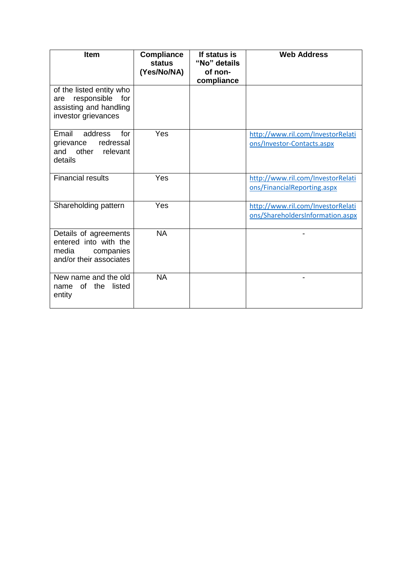| Item                                                                                                   | <b>Compliance</b><br>status<br>(Yes/No/NA) | If status is<br>"No" details<br>of non-<br>compliance | <b>Web Address</b>                                                    |
|--------------------------------------------------------------------------------------------------------|--------------------------------------------|-------------------------------------------------------|-----------------------------------------------------------------------|
| of the listed entity who<br>responsible<br>for<br>are<br>assisting and handling<br>investor grievances |                                            |                                                       |                                                                       |
| Email<br>address<br>for<br>grievance<br>redressal<br>and other<br>relevant<br>details                  | Yes                                        |                                                       | http://www.ril.com/InvestorRelati<br>ons/Investor-Contacts.aspx       |
| <b>Financial results</b>                                                                               | Yes                                        |                                                       | http://www.ril.com/InvestorRelati<br>ons/FinancialReporting.aspx      |
| Shareholding pattern                                                                                   | Yes                                        |                                                       | http://www.ril.com/InvestorRelati<br>ons/ShareholdersInformation.aspx |
| Details of agreements<br>entered into with the<br>media<br>companies<br>and/or their associates        | <b>NA</b>                                  |                                                       |                                                                       |
| New name and the old<br>of the<br>listed<br>name<br>entity                                             | <b>NA</b>                                  |                                                       |                                                                       |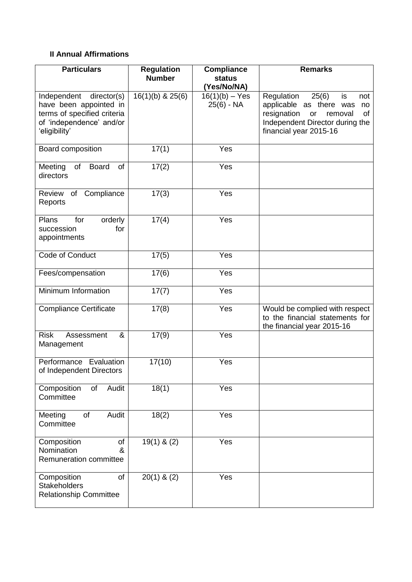## **II Annual Affirmations**

| <b>Particulars</b>                                                                                                            | <b>Regulation</b><br><b>Number</b> | <b>Compliance</b><br><b>status</b><br>(Yes/No/NA) | <b>Remarks</b>                                                                                                                                                       |
|-------------------------------------------------------------------------------------------------------------------------------|------------------------------------|---------------------------------------------------|----------------------------------------------------------------------------------------------------------------------------------------------------------------------|
| Independent director(s)<br>have been appointed in<br>terms of specified criteria<br>of 'independence' and/or<br>'eligibility' | $16(1)(b)$ & $25(6)$               | $16(1)(b) - Yes$<br>$25(6) - NA$                  | 25(6)<br>Regulation<br>is<br>not<br>applicable as there was<br>no<br>resignation<br>removal<br>of<br>or<br>Independent Director during the<br>financial year 2015-16 |
| Board composition                                                                                                             | 17(1)                              | Yes                                               |                                                                                                                                                                      |
| $\circ$ f<br><b>Board</b><br>Meeting<br>of<br>directors                                                                       | 17(2)                              | Yes                                               |                                                                                                                                                                      |
| Compliance<br>Review<br>of<br>Reports                                                                                         | 17(3)                              | Yes                                               |                                                                                                                                                                      |
| Plans<br>for<br>orderly<br>succession<br>for<br>appointments                                                                  | 17(4)                              | Yes                                               |                                                                                                                                                                      |
| Code of Conduct                                                                                                               | 17(5)                              | Yes                                               |                                                                                                                                                                      |
| Fees/compensation                                                                                                             | 17(6)                              | Yes                                               |                                                                                                                                                                      |
| Minimum Information                                                                                                           | 17(7)                              | Yes                                               |                                                                                                                                                                      |
| <b>Compliance Certificate</b>                                                                                                 | 17(8)                              | Yes                                               | Would be complied with respect<br>to the financial statements for<br>the financial year 2015-16                                                                      |
| <b>Risk</b><br>&<br>Assessment<br>Management                                                                                  | 17(9)                              | Yes                                               |                                                                                                                                                                      |
| Performance Evaluation<br>of Independent Directors                                                                            | 17(10)                             | Yes                                               |                                                                                                                                                                      |
| Composition<br>Audit<br>of<br>Committee                                                                                       | 18(1)                              | Yes                                               |                                                                                                                                                                      |
| Audit<br>of<br>Meeting<br>Committee                                                                                           | 18(2)                              | Yes                                               |                                                                                                                                                                      |
| Composition<br>of<br>Nomination<br>&<br><b>Remuneration committee</b>                                                         | $19(1)$ & (2)                      | Yes                                               |                                                                                                                                                                      |
| Composition<br>of<br><b>Stakeholders</b><br><b>Relationship Committee</b>                                                     | $20(1)$ & $(2)$                    | Yes                                               |                                                                                                                                                                      |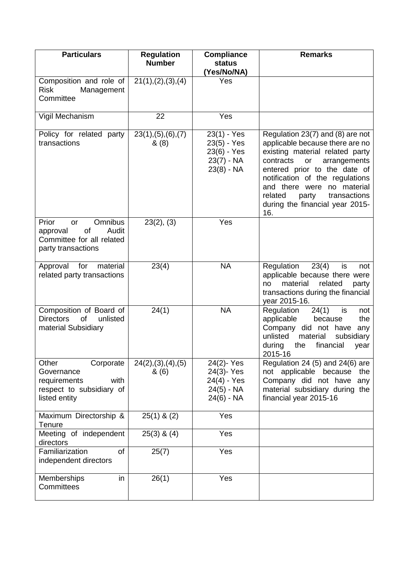| <b>Particulars</b>                                                                                    | <b>Regulation</b><br><b>Number</b> | <b>Compliance</b><br><b>status</b><br>(Yes/No/NA)                         | <b>Remarks</b>                                                                                                                                                                                                                                                                                                           |
|-------------------------------------------------------------------------------------------------------|------------------------------------|---------------------------------------------------------------------------|--------------------------------------------------------------------------------------------------------------------------------------------------------------------------------------------------------------------------------------------------------------------------------------------------------------------------|
| Composition and role of<br><b>Risk</b><br>Management<br>Committee                                     | 21(1), (2), (3), (4)               | Yes                                                                       |                                                                                                                                                                                                                                                                                                                          |
| Vigil Mechanism                                                                                       | 22                                 | Yes                                                                       |                                                                                                                                                                                                                                                                                                                          |
| Policy for related party<br>transactions                                                              | 23(1), (5), (6), (7)<br>& (8)      | 23(1) - Yes<br>23(5) - Yes<br>23(6) - Yes<br>$23(7) - NA$<br>$23(8) - NA$ | Regulation 23(7) and (8) are not<br>applicable because there are no<br>existing material related party<br>contracts<br>arrangements<br>or<br>entered prior to the date of<br>notification of the regulations<br>and there were no material<br>related<br>party<br>transactions<br>during the financial year 2015-<br>16. |
| Omnibus<br>Prior<br>or<br>of<br>Audit<br>approval<br>Committee for all related<br>party transactions  | 23(2), (3)                         | Yes                                                                       |                                                                                                                                                                                                                                                                                                                          |
| Approval<br>for<br>material<br>related party transactions                                             | 23(4)                              | <b>NA</b>                                                                 | Regulation<br>23(4)<br>is<br>not<br>applicable because there were<br>material<br>related<br>no<br>party<br>transactions during the financial<br>year 2015-16.                                                                                                                                                            |
| Composition of Board of<br><b>Directors</b><br><b>of</b><br>unlisted<br>material Subsidiary           | 24(1)                              | <b>NA</b>                                                                 | 24(1)<br>Regulation<br>is<br>not<br>applicable<br>the<br>because<br>Company<br>did not have<br>any<br>unlisted<br>material<br>subsidiary<br>during<br>the<br>financial<br>year<br>2015-16                                                                                                                                |
| Other<br>Corporate<br>Governance<br>with<br>requirements<br>respect to subsidiary of<br>listed entity | 24(2), (3), (4), (5)<br>& (6)      | 24(2)-Yes<br>24(3)-Yes<br>24(4) - Yes<br>$24(5) - NA$<br>$24(6) - NA$     | Regulation 24 $(5)$ and 24 $(6)$ are<br>not applicable because<br>the<br>Company did not have<br>any<br>material subsidiary during the<br>financial year 2015-16                                                                                                                                                         |
| Maximum Directorship &<br>Tenure                                                                      | $25(1)$ & $(2)$                    | Yes                                                                       |                                                                                                                                                                                                                                                                                                                          |
| Meeting of independent<br>directors                                                                   | $25(3)$ & $(4)$                    | Yes                                                                       |                                                                                                                                                                                                                                                                                                                          |
| Familiarization<br>of<br>independent directors                                                        | 25(7)                              | Yes                                                                       |                                                                                                                                                                                                                                                                                                                          |
| Memberships<br>in<br>Committees                                                                       | 26(1)                              | Yes                                                                       |                                                                                                                                                                                                                                                                                                                          |